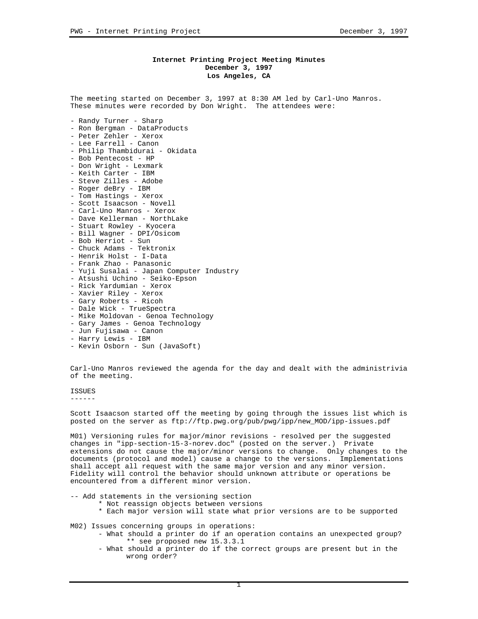## **Internet Printing Project Meeting Minutes December 3, 1997 Los Angeles, CA**

The meeting started on December 3, 1997 at 8:30 AM led by Carl-Uno Manros. These minutes were recorded by Don Wright. The attendees were:

- Randy Turner Sharp
- Ron Bergman DataProducts
- Peter Zehler Xerox
- Lee Farrell Canon
- Philip Thambidurai Okidata
- Bob Pentecost HP - Don Wright - Lexmark
- Keith Carter IBM
- Steve Zilles Adobe
- Roger deBry IBM
- Tom Hastings Xerox
- Scott Isaacson Novell
- Carl-Uno Manros Xerox
- Dave Kellerman NorthLake
- Stuart Rowley Kyocera
- Bill Wagner DPI/Osicom
- Bob Herriot Sun
- 
- Chuck Adams Tektronix
- Henrik Holst I-Data
- Frank Zhao Panasonic
- Yuji Susalai Japan Computer Industry
- Atsushi Uchino Seiko-Epson
- Rick Yardumian Xerox
- Xavier Riley Xerox
- Gary Roberts Ricoh
- Dale Wick TrueSpectra
- Mike Moldovan Genoa Technology
- Gary James Genoa Technology
- Jun Fujisawa Canon
- Harry Lewis IBM
- Kevin Osborn Sun (JavaSoft)

Carl-Uno Manros reviewed the agenda for the day and dealt with the administrivia of the meeting.

**TSSUES** 

------

Scott Isaacson started off the meeting by going through the issues list which is posted on the server as ftp://ftp.pwg.org/pub/pwg/ipp/new\_MOD/ipp-issues.pdf

M01) Versioning rules for major/minor revisions - resolved per the suggested changes in "ipp-section-15-3-norev.doc" (posted on the server.) Private extensions do not cause the major/minor versions to change. Only changes to the documents (protocol and model) cause a change to the versions. Implementations shall accept all request with the same major version and any minor version. Fidelity will control the behavior should unknown attribute or operations be encountered from a different minor version.

-- Add statements in the versioning section

- \* Not reassign objects between versions
	- \* Each major version will state what prior versions are to be supported

M02) Issues concerning groups in operations:

- What should a printer do if an operation contains an unexpected group? \*\* see proposed new 15.3.3.1
- What should a printer do if the correct groups are present but in the wrong order?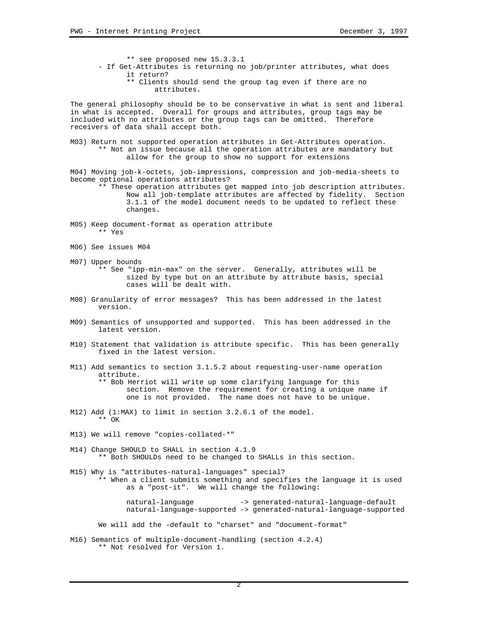\*\* see proposed new 15.3.3.1 - If Get-Attributes is returning no job/printer attributes, what does it return?

\*\* Clients should send the group tag even if there are no attributes.

The general philosophy should be to be conservative in what is sent and liberal in what is accepted. Overall for groups and attributes, group tags may be included with no attributes or the group tags can be omitted. Therefore receivers of data shall accept both.

M03) Return not supported operation attributes in Get-Attributes operation. \*\* Not an issue because all the operation attributes are mandatory but allow for the group to show no support for extensions

M04) Moving job-k-octets, job-impressions, compression and job-media-sheets to become optional operations attributes?

\*\* These operation attributes get mapped into job description attributes. Now all job-template attributes are affected by fidelity. Section 3.1.1 of the model document needs to be updated to reflect these changes.

- M05) Keep document-format as operation attribute \*\* Yes
- M06) See issues M04
- M07) Upper bounds

\*\* See "ipp-min-max" on the server. Generally, attributes will be sized by type but on an attribute by attribute basis, special cases will be dealt with.

- M08) Granularity of error messages? This has been addressed in the latest version.
- M09) Semantics of unsupported and supported. This has been addressed in the latest version.
- M10) Statement that validation is attribute specific. This has been generally fixed in the latest version.
- M11) Add semantics to section 3.1.5.2 about requesting-user-name operation attribute. \*\* Bob Herriot will write up some clarifying language for this section. Remove the requirement for creating a unique name if one is not provided. The name does not have to be unique.
- M12) Add (1:MAX) to limit in section 3.2.6.1 of the model. \*\* OK
- M13) We will remove "copies-collated-\*"
- M14) Change SHOULD to SHALL in section 4.1.9 \*\* Both SHOULDs need to be changed to SHALLs in this section.

M15) Why is "attributes-natural-languages" special? \*\* When a client submits something and specifies the language it is used as a "post-it". We will change the following:

> natural-language -> generated-natural-language-default natural-language-supported -> generated-natural-language-supported

We will add the -default to "charset" and "document-format"

M16) Semantics of multiple-document-handling (section 4.2.4) \*\* Not resolved for Version 1.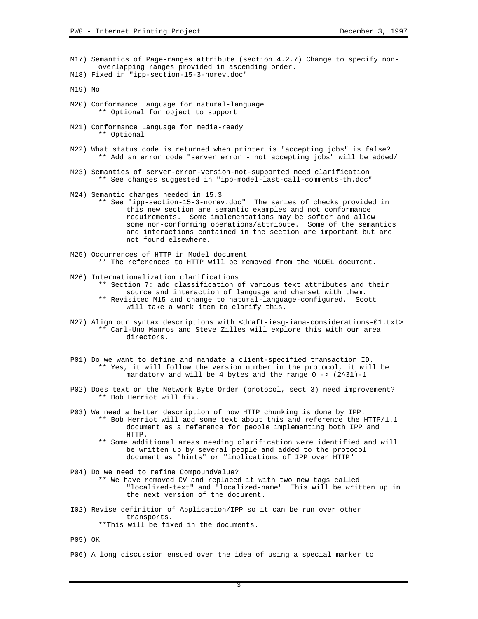- M17) Semantics of Page-ranges attribute (section 4.2.7) Change to specify nonoverlapping ranges provided in ascending order.
- M18) Fixed in "ipp-section-15-3-norev.doc"
- M19) No
- M20) Conformance Language for natural-language \*\* Optional for object to support
- M21) Conformance Language for media-ready \*\* Optional
- M22) What status code is returned when printer is "accepting jobs" is false? \*\* Add an error code "server error - not accepting jobs" will be added/
- M23) Semantics of server-error-version-not-supported need clarification \*\* See changes suggested in "ipp-model-last-call-comments-th.doc"
- M24) Semantic changes needed in 15.3
	- \*\* See "ipp-section-15-3-norev.doc" The series of checks provided in this new section are semantic examples and not conformance requirements. Some implementations may be softer and allow some non-conforming operations/attribute. Some of the semantics and interactions contained in the section are important but are not found elsewhere.
- M25) Occurrences of HTTP in Model document \*\* The references to HTTP will be removed from the MODEL document.
- M26) Internationalization clarifications \*\* Section 7: add classification of various text attributes and their source and interaction of language and charset with them. \*\* Revisited M15 and change to natural-language-configured. Scott will take a work item to clarify this.
- M27) Align our syntax descriptions with <draft-iesg-iana-considerations-01.txt> \*\* Carl-Uno Manros and Steve Zilles will explore this with our area directors.
- P01) Do we want to define and mandate a client-specified transaction ID. \*\* Yes, it will follow the version number in the protocol, it will be mandatory and will be 4 bytes and the range 0 -> (2^31)-1
- P02) Does text on the Network Byte Order (protocol, sect 3) need improvement? \*\* Bob Herriot will fix.
- P03) We need a better description of how HTTP chunking is done by IPP. \*\* Bob Herriot will add some text about this and reference the HTTP/1.1 document as a reference for people implementing both IPP and HTTP.
	- \*\* Some additional areas needing clarification were identified and will be written up by several people and added to the protocol document as "hints" or "implications of IPP over HTTP"
- P04) Do we need to refine CompoundValue? \*\* We have removed CV and replaced it with two new tags called "localized-text" and "localized-name" This will be written up in the next version of the document.
- I02) Revise definition of Application/IPP so it can be run over other transports. \*\*This will be fixed in the documents.
- P05) OK
- P06) A long discussion ensued over the idea of using a special marker to

3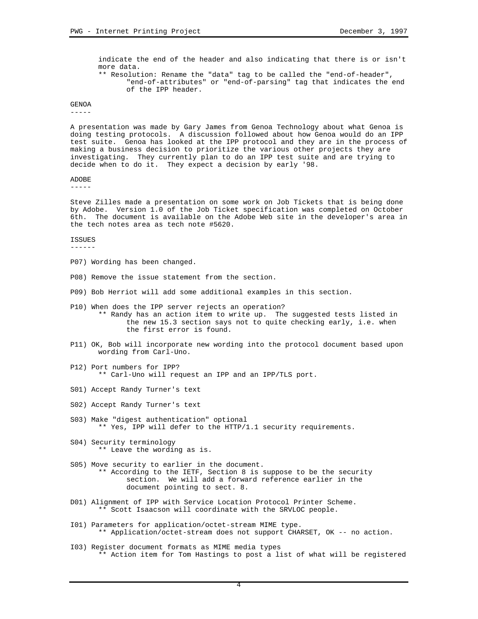indicate the end of the header and also indicating that there is or isn't more data. \*\* Resolution: Rename the "data" tag to be called the "end-of-header", "end-of-attributes" or "end-of-parsing" tag that indicates the end of the IPP header.

GENOA

-----

A presentation was made by Gary James from Genoa Technology about what Genoa is doing testing protocols. A discussion followed about how Genoa would do an IPP test suite. Genoa has looked at the IPP protocol and they are in the process of making a business decision to prioritize the various other projects they are investigating. They currently plan to do an IPP test suite and are trying to decide when to do it. They expect a decision by early '98.

## ADOBE

-----

Steve Zilles made a presentation on some work on Job Tickets that is being done by Adobe. Version 1.0 of the Job Ticket specification was completed on October 6th. The document is available on the Adobe Web site in the developer's area in the tech notes area as tech note #5620.

## ISSUES

------

- P07) Wording has been changed.
- P08) Remove the issue statement from the section.
- P09) Bob Herriot will add some additional examples in this section.
- P10) When does the IPP server rejects an operation? \*\* Randy has an action item to write up. The suggested tests listed in the new 15.3 section says not to quite checking early, i.e. when the first error is found.
- P11) OK, Bob will incorporate new wording into the protocol document based upon wording from Carl-Uno.
- P12) Port numbers for IPP? \*\* Carl-Uno will request an IPP and an IPP/TLS port.
- S01) Accept Randy Turner's text
- S02) Accept Randy Turner's text
- S03) Make "digest authentication" optional \*\* Yes, IPP will defer to the HTTP/1.1 security requirements.
- S04) Security terminology \*\* Leave the wording as is.
- S05) Move security to earlier in the document. \*\* According to the IETF, Section 8 is suppose to be the security section. We will add a forward reference earlier in the document pointing to sect. 8.
- D01) Alignment of IPP with Service Location Protocol Printer Scheme. \*\* Scott Isaacson will coordinate with the SRVLOC people.
- I01) Parameters for application/octet-stream MIME type. \*\* Application/octet-stream does not support CHARSET, OK -- no action.
- I03) Register document formats as MIME media types \*\* Action item for Tom Hastings to post a list of what will be registered